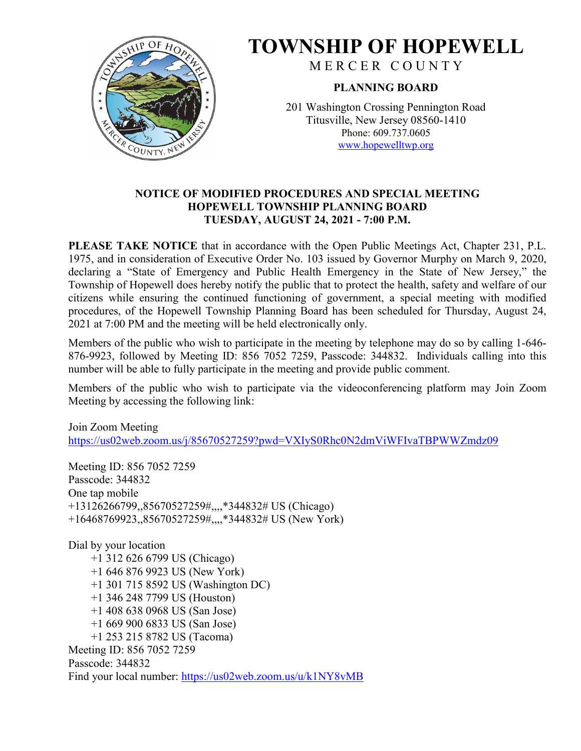

# **TOWNSHIP OF HOPEWELL**

M E R C E R C O U N T Y

# **PLANNING BOARD**

201 Washington Crossing Pennington Road Titusville, New Jersey 08560-1410 Phone: 609.737.0605 [www.hopewelltwp.org](http://www.hopewelltwp.org/)

# **NOTICE OF MODIFIED PROCEDURES AND SPECIAL MEETING HOPEWELL TOWNSHIP PLANNING BOARD TUESDAY, AUGUST 24, 2021 - 7:00 P.M.**

**PLEASE TAKE NOTICE** that in accordance with the Open Public Meetings Act, Chapter 231, P.L. 1975, and in consideration of Executive Order No. 103 issued by Governor Murphy on March 9, 2020, declaring a "State of Emergency and Public Health Emergency in the State of New Jersey," the Township of Hopewell does hereby notify the public that to protect the health, safety and welfare of our citizens while ensuring the continued functioning of government, a special meeting with modified procedures, of the Hopewell Township Planning Board has been scheduled for Thursday, August 24, 2021 at 7:00 PM and the meeting will be held electronically only.

Members of the public who wish to participate in the meeting by telephone may do so by calling 1-646- 876-9923, followed by Meeting ID: 856 7052 7259, Passcode: 344832. Individuals calling into this number will be able to fully participate in the meeting and provide public comment.

Members of the public who wish to participate via the videoconferencing platform may Join Zoom Meeting by accessing the following link:

Join Zoom Meeting <https://us02web.zoom.us/j/85670527259?pwd=VXIyS0Rhc0N2dmViWFIvaTBPWWZmdz09>

Meeting ID: 856 7052 7259 Passcode: 344832 One tap mobile +13126266799,,85670527259#,,,,\*344832# US (Chicago) +16468769923,,85670527259#,,,,\*344832# US (New York)

Dial by your location +1 312 626 6799 US (Chicago) +1 646 876 9923 US (New York) +1 301 715 8592 US (Washington DC) +1 346 248 7799 US (Houston) +1 408 638 0968 US (San Jose) +1 669 900 6833 US (San Jose) +1 253 215 8782 US (Tacoma) Meeting ID: 856 7052 7259 Passcode: 344832 Find your local number:<https://us02web.zoom.us/u/k1NY8vMB>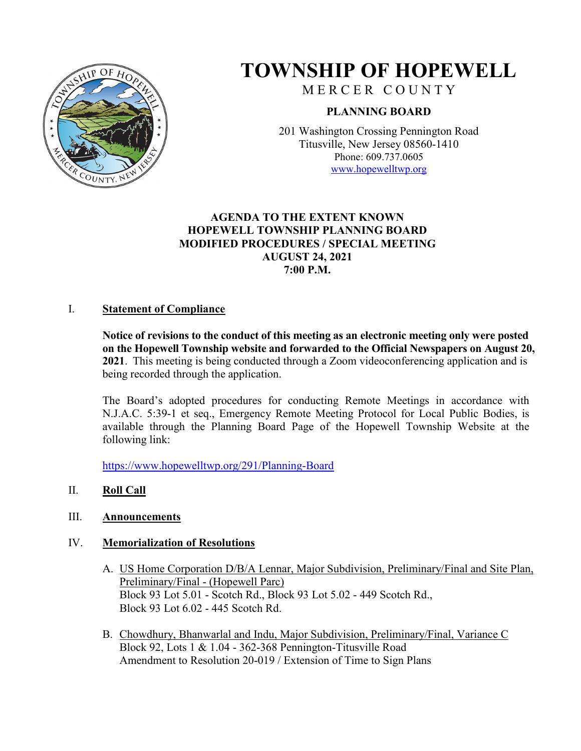

# **TOWNSHIP OF HOPEWELL**

MERCER COUNTY

# **PLANNING BOARD**

201 Washington Crossing Pennington Road Titusville, New Jersey 08560-1410 Phone: 609.737.0605 [www.hopewelltwp.org](http://www.hopewelltwp.org/)

# **AGENDA TO THE EXTENT KNOWN HOPEWELL TOWNSHIP PLANNING BOARD MODIFIED PROCEDURES / SPECIAL MEETING AUGUST 24, 2021 7:00 P.M.**

## I. **Statement of Compliance**

**Notice of revisions to the conduct of this meeting as an electronic meeting only were posted on the Hopewell Township website and forwarded to the Official Newspapers on August 20, 2021**. This meeting is being conducted through a Zoom videoconferencing application and is being recorded through the application.

The Board's adopted procedures for conducting Remote Meetings in accordance with N.J.A.C. 5:39-1 et seq., Emergency Remote Meeting Protocol for Local Public Bodies, is available through the Planning Board Page of the Hopewell Township Website at the following link:

<https://www.hopewelltwp.org/291/Planning-Board>

# II. **Roll Call**

#### III. **Announcements**

#### IV. **Memorialization of Resolutions**

- A. US Home Corporation D/B/A Lennar, Major Subdivision, Preliminary/Final and Site Plan, Preliminary/Final - (Hopewell Parc) Block 93 Lot 5.01 - Scotch Rd., Block 93 Lot 5.02 - 449 Scotch Rd., Block 93 Lot 6.02 - 445 Scotch Rd.
- B. Chowdhury, Bhanwarlal and Indu, Major Subdivision, Preliminary/Final, Variance C Block 92, Lots 1 & 1.04 - 362-368 Pennington-Titusville Road Amendment to Resolution 20-019 / Extension of Time to Sign Plans